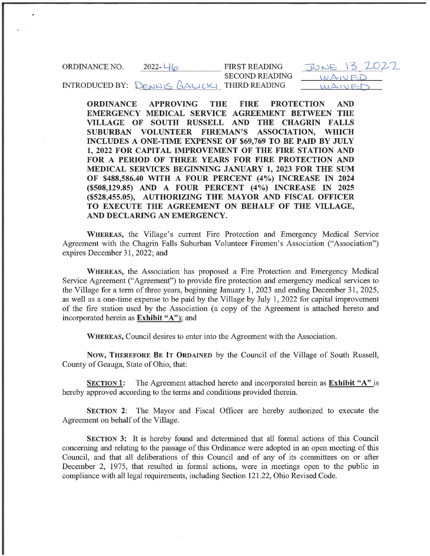ORDINANCE NO.  $2022 - 46$ INTRODUCED BY: DENNIS GALICK THIRD READING FIRST READING SECOND READING  $JONE$   $13$  $\overline{\overline{\phantom{a}}\phantom{a}}$  $MA$  $V$  $F$ 

ORDINANCE APPROVING THE FIRE PROTECTION AND EMERGENCY MEDICAL SERVICE AGREEMENT BETWEEN THE VILLAGE OF SOUTH RUSSELL AND THE CHAGRIN FALLS SUBURBAN VOLUNTEER FIREMAN'S ASSOCIATION, WHICH INCLUDES A ONE-TIME EXPENSE OF \$69,769 TO BE PAID BY JULY 1, 2022 FOR CAPITAL IMPROVEMENT OF THE FIRE STATION AND FOR A PERIOD OF THREE YEARS FOR FIRE PROTECTION AND MEDICAL SERVICES BEGINNING JANUARY 1, 2023 FOR THE SUM OF \$488,586.40 WITH A FOUR PERCENT (4%) INCREASE IN 2024 (\$508,129.85) AND A FOUR PERCENT (4%) INCREASE IN 2025 (\$528, 455.05), AUTHORIZING THE MAYOR AND FISCAL OFFICER TO EXECUTE THE AGREEMENT ON BEHALF OF THE VILLAGE, AND DECLARING AN EMERGENCY.

WHEREAS, the Village's current Fire Protection and Emergency Medical Service Agreement with the Chagrin Falls Suburban Volunteer Firemen's Association ("Association") expires December 31, 2022; and

WHEREAS, the Association has proposed a Fire Protection and Emergency Medical Service Agreement ("Agreement") to provide fire protection and emergency medical services to the Village for a term of three years, beginning January 1, 2023 and ending December 31, 2025, as well as a one-time expense to be paid by the Village by July 1, 2022 for capital improvement of the fire station used by the Association (a copy of the Agreement is attached hereto and incorporated herein as **Exhibit "A"**); and

WHEREAS, Council desires to enter into the Agreement with the Association.

Now, THEREFORE BE IT ORDAINED by the Council of the Village of South Russell, County of Geauga, State of Ohio, that:

SECTION 1: The Agreement attached hereto and incorporated herein as Exhibit "A" is hereby approved according to the terms and conditions provided therein.

SECTION 2: The Mayor and Fiscal Officer are hereby authorized to execute the Agreement on behalf of the Village.

SECTION 3: It is hereby found and determined that all formal actions of this Council concerning and relating to the passage of this Ordinance were adopted in an open meeting of this Council, and that all deliberations of this Council and of any of its committees on or after December 2, 1975, that resulted in formal actions, were in meetings open to the public in compliance with all legal requirements, including Section 121.22, Ohio Revised Code.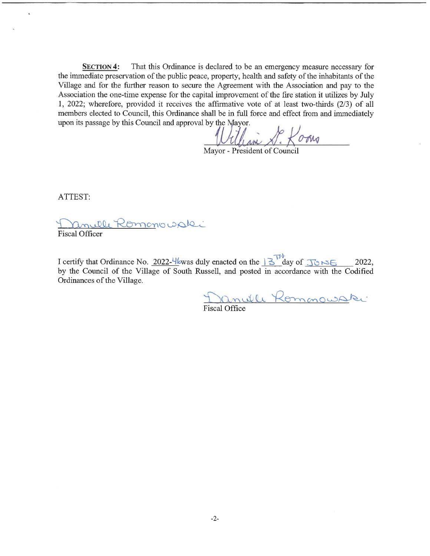SECTION 4: That this Ordinance is declared to be an emergency measure necessary for the immediate preservation of the public peace, property, health and safety of the inhabitants of the Village and for the further reason to secure the Agreement with the Association and pay to the Association the one-time expense for the capital improvement of the fire station it utilizes by July 1, 2022; wherefore, provided it receives the affirmative vote of at least two-thirds (2/3) of all members elected to Council, this Ordinance shall be in full force and effect from and immediately upon its passage by this Council and approval by the Mayor.

 $\sigma$ ogug

Mayor - President of Council

ATTEST:

<u>ille Komon</u>o opki **Fiscal Officer** 

I certify that Ordinance No. 2022-4 $\frac{1}{2}$  was duly enacted on the  $\frac{3}{2}$  day of  $\frac{3}{2}$   $\approx$   $\approx$  2022, by the Council of the Village of South Russell, and posted in accordance with the Codified Ordinances of the Village.

Will Kommowake

Fiscal Office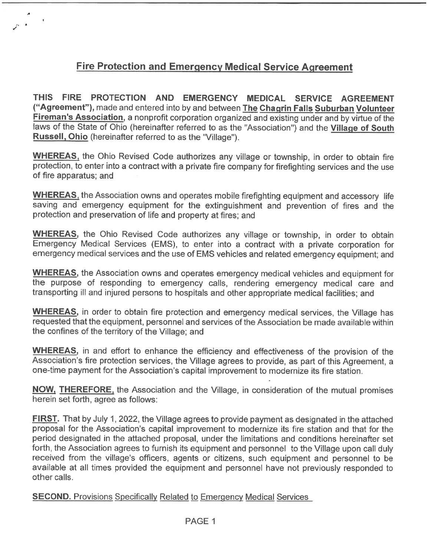## Fire Protection and Emergency Medical Service Agreement

THIS FIRE PROTECTION AND EMERGENCY MEDICAL SERVICE AGREEMENT ("Agreement"), made and entered into by and between The Chagrin Falls Suburban Volunteer Fireman's Association, a nonprofit corporation organized and existing under and by virtue of the laws of the State of Ohio (hereinafter referred to as the "Association") and the Village of South Russell, Ohio (hereinafter referred to as the "Village").

WHEREAS, the Ohio Revised Code authorizes any village or township, in order to obtain fire protection, to enter into a contract with a private fire company for firefighting services and the use of fire apparatus; and

WHEREAS, the Association owns and operates mobile firefighting equipment and accessory life saving and emergency equipment for the extinguishment and prevention of fires and the protection and preservation of life and property at fires; and

WHEREAS, the Ohio Revised Code authorizes any village or township, in order to obtain Emergency Medical Services (EMS), to enter into a contract with a private corporation for emergency medical services and the use of EMS vehicles and related emergency equipment; and

WHEREAS, the Association owns and operates emergency medical vehicles and equipment for the purpose of responding to emergency calls, rendering emergency medical care and transporting ill and injured persons to hospitals and other appropriate medical facilities; and

WHEREAS, in order to obtain fire protection and emergency medical services, the Village has requested that the equipment, personnel and services of the Association be made available within the confines of the territory of the Village; and

WHEREAS, in and effort to enhance the efficiency and effectiveness of the provision of the Association's fire protection services, the Village agrees to provide, as part of this Agreement, a one-time payment for the Association's capital improvement to modernize its fire station.

NOW, THEREFORE, the Association and the Village, in consideration of the mutual promises herein set forth, agree as follows:

**FIRST.** That by July 1, 2022, the Village agrees to provide payment as designated in the attached proposal for the Association's capital improvement to modernize its fire station and that for the period designated in the attached proposal, under the limitations and conditions hereinafter set forth, the Association agrees to furnish its equipment and personnel to the Village upon call duly received from the village's officers, agents or citizens, such equipment and personnel to be available at all times provided the equipment and personnel have not previously responded to other calls.

**SECOND.** Provisions Specifically Related to Emergency Medical Services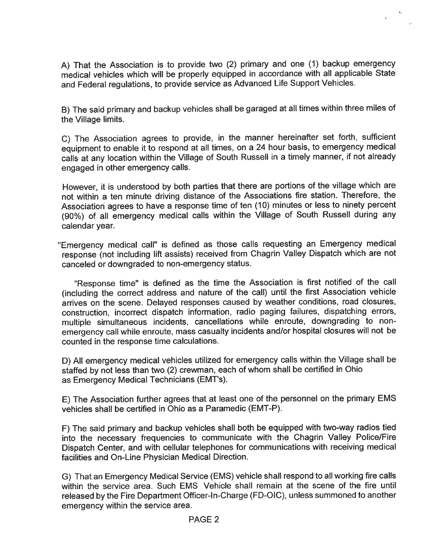A) That the Association is to provide two (2) primary and one (1) backup emergency medical vehicles which will be properly equipped in accordance with all applicable State and Federal regulations, to provide service as Advanced Life Support Vehicles.

 $\mathfrak{g}^{\pm}$ 

B) The said primary and backup vehicles shall be garaged at all times within three miles of the Village limits.

C) The Association agrees to provide, in the manner hereinafter set forth, sufficient equipment to enable it to respond at all times, on a 24 hour basis, to emergency medical calls at any location within the Village of South Russell in a timely manner, if not already engaged in other emergency calls.

However, it is understood by both parties that there are portions of the village which are not within a ten minute driving distance of the Associations fire station. Therefore, the Association agrees to have a response time of ten (10) minutes or less to ninety percent (90%) of all emergency medical calls within the Village of South Russell during any calendar year.

"Emergency medical call" is defined as those calls requesting an Emergency medical response (not including lift assists) received from Chagrin Valley Dispatch which are not canceled or downgraded to non-emergency status.

"Response time" is defined as the time the Association is first notified of the call (including the correct address and nature of the call) until the first Association vehicle arrives on the scene. Delayed responses caused by weather conditions, road closures, construction, incorrect dispatch information, radio paging failures, dispatching errors, multiple simultaneous incidents, cancellations while enroute, downgrading to nonemergency call while enroute, mass casualty incidents and/or hospital closures will not be counted in the response time calculations.

D) All emergency medical vehicles utilized for emergency calls within the Village shall be staffed by not less than two (2) crewman, each of whom shall be certified in Ohio as Emergency Medical Technicians (EMT's).

E) The Association further agrees that at least one of the personnel on the primary EMS vehicles shall be certified in Ohio as a Paramedic (EMT-P).

F) The said primary and backup vehicles shall both be equipped with two-way radios tied into the necessary frequencies to communicate with the Chagrin Valley Police/Fire Dispatch Center, and with cellular telephones for communications with receiving medical facilities and On-Line Physician Medical Direction.

G) That an Emergency Medical Service (EMS) vehicle shall respond to all working fire calls within the service area. Such EMS Vehicle shall remain at the scene of the fire until released by the Fire Department Officer-ln-Charge (FD-OIC), unless summoned to another emergency within the service area.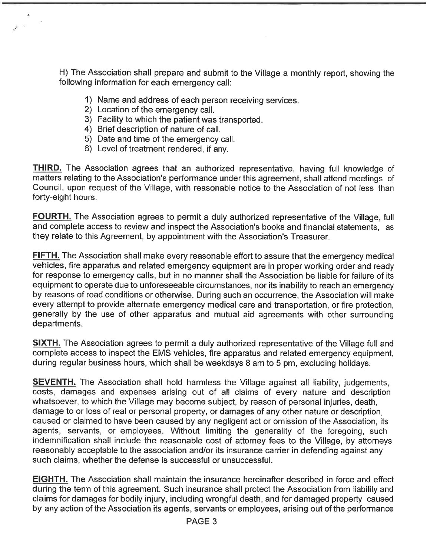H) The Association shall prepare and submit to the Village a monthly report, showing the following information for each emergency call:

- 1) Name and address of each person receiving services.
- 2) Location of the emergency call.

 $\sim$ 

 $\mathcal{F}^{\mathbb{R}}$ 

- 3) Facility to which the patient was transported.
- 4) Brief description of nature of call.
- 5) Date and time of the emergency call.
- 6) Level of treatment rendered, if any.

THIRD. The Association agrees that an authorized representative, having full knowledge of matters relating to the Association's performance under this agreement, shall attend meetings of Council, upon request of the Village, with reasonable notice to the Association of not less than forty-eight hours.

FOURTH. The Association agrees to permit a duly authorized representative of the Village, full and complete access to review and inspect the Association's books and financial statements, as they relate to this Agreement, by appointment with the Association's Treasurer.

**FIFTH.** The Association shall make every reasonable effort to assure that the emergency medical vehicles, fire apparatus and related emergency equipment are in proper working order and ready for response to emergency calls, but in no manner shall the Association be liable for failure of its equipment to operate due to unforeseeable circumstances, nor its inability to reach an emergency by reasons of road conditions or otherwise. During such an occurrence, the Association will make every attempt to provide alternate emergency medical care and transportation, or fire protection, generally by the use of other apparatus and mutual aid agreements with other surrounding departments.

**SIXTH.** The Association agrees to permit a duly authorized representative of the Village full and complete access to inspect the EMS vehicles, fire apparatus and related emergency equipment, during regular business hours, which shall be weekdays 8 am to 5 pm, excluding holidays.

**SEVENTH.** The Association shall hold harmless the Village against all liability, judgements, costs, damages and expenses arising out of all claims of every nature and description whatsoever, to which the Village may become subject, by reason of personal injuries, death, damage to or loss of real or personal property, or damages of any other nature or description, caused or claimed to have been caused by any negligent act or omission of the Association, its agents, servants, or employees. Without limiting the generality of the foregoing, such indemnification shall include the reasonable cost of attorney fees to the Village, by attorneys reasonably acceptable to the association and/or its insurance carrier in defending against any such claims, whether the defense is successful or unsuccessful.

**EIGHTH.** The Association shall maintain the insurance hereinafter described in force and effect during the term of this agreement. Such insurance shall protect the Association from liability and claims for damages for bodily injury, including wrongful death, and for damaged property caused by any action of the Association its agents, servants or employees, arising out of the performance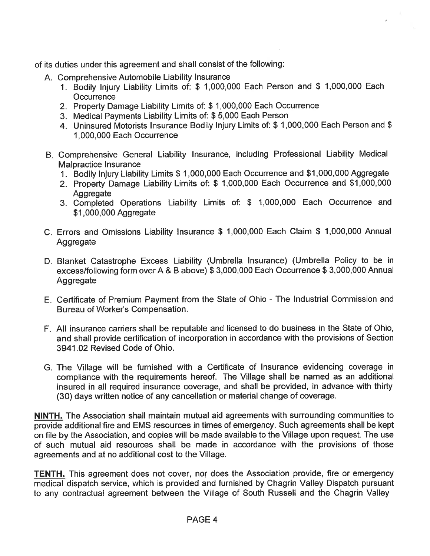of its duties under this agreement and shall consist of the following:

- A. Comprehensive Automobile Liability Insurance
	- 1. Bodily Injury Liability Limits of: \$ 1, 000, 000 Each Person and \$ 1, 000, 000 Each **Occurrence**
	- 2. Property Damage Liability Limits of: \$ 1, 000, 000 Each Occurrence
	- 3. Medical Payments Liability Limits of: \$ 5, 000 Each Person
	- 4. Uninsured Motorists Insurance Bodily Injury Limits of: \$ 1 , 000, 000 Each Person and \$ 1, 000, 000 Each Occurrence
- B. Comprehensive General Liability Insurance, including Professional Liability Medical Malpractice Insurance
	- 1. Bodily Injury Liability Limits \$ 1, 000, 000 Each Occurrence and \$1, 000, 000 Aggregate
	- 2. Property Damage Liability Limits of: \$ 1, 000, 000 Each Occurrence and \$1, 000, 000 **Aggregate**
	- 3. Completed Operations Liability Limits of: \$ 1, 000, 000 Each Occurrence and \$1,000,000 Aggregate
- C. Errors and Omissions Liability Insurance \$ 1, 000, 000 Each Claim \$ 1, 000, 000 Annual **Aggregate**
- D. Blanket Catastrophe Excess Liability (Umbrella Insurance) (Umbrella Policy to be in excess/following form over A & B above) \$ 3, 000, 000 Each Occurrence \$ 3, 000, 000 Annual Aggregate
- E. Certificate of Premium Payment from the State of Ohio The Industrial Commission and Bureau of Worker's Compensation.
- F. All insurance carriers shall be reputable and licensed to do business in the State of Ohio, and shall provide certification of incorporation in accordance with the provisions of Section 3941. 02 Revised Code of Ohio.
- G. The Village will be furnished with a Certificate of Insurance evidencing coverage in compliance with the requirements hereof. The Village shall be named as an additional insured in all required insurance coverage, and shall be provided, in advance with thirty (30) days written notice of any cancellation or material change of coverage.

NINTH. The Association shall maintain mutual aid agreements with surrounding communities to provide additional fire and EMS resources in times of emergency. Such agreements shall be kept on file by the Association, and copies will be made available to the Village upon request. The use of such mutual aid resources shall be made in accordance with the provisions of those agreements and at no additional cost to the Village.

TENTH. This agreement does not cover, nor does the Association provide, fire or emergency medical dispatch service, which is provided and furnished by Chagrin Valley Dispatch pursuant to any contractual agreement between the Village of South Russell and the Chagrin Valley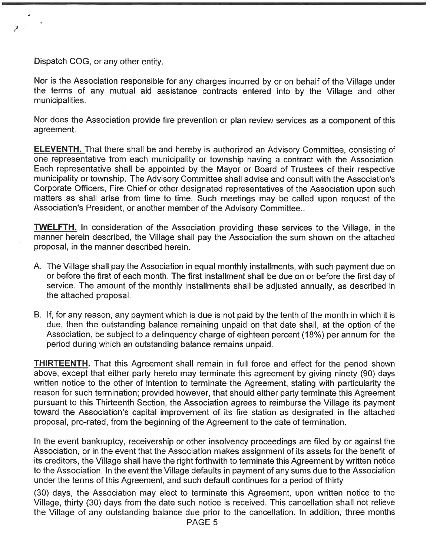Dispatch COG, or any other entity.

Nor is the Association responsible for any charges incurred by or on behalf of the Village under the terms of any mutual aid assistance contracts entered into by the Village and other municipalities.

Nor does the Association provide fire prevention or plan review services as a component of this agreement.

ELEVENTH. That there shall be and hereby is authorized an Advisory Committee, consisting of one representative from each municipality or township having a contract with the Association. Each representative shall be appointed by the Mayor or Board of Trustees of their respective municipality or township. The Advisory Committee shall advise and consult with the Association's Corporate Officers, Fire Chief or other designated representatives of the Association upon such matters as shall arise from time to time. Such meetings may be called upon request of the Association's President, or another member of the Advisory Committee..

TWELFTH. In consideration of the Association providing these services to the Village, in the manner herein described, the Village shall pay the Association the sum shown on the attached proposal, in the manner described herein.

- A. The Village shall pay the Association in equal monthly installments, with such payment due on or before the first of each month. The first installment shall be due on or before the first day of service. The amount of the monthly installments shall be adjusted annually, as described in the attached proposal.
- B. If, for any reason, any payment which is due is not paid by the tenth of the month in which it is due, then the outstanding balance remaining unpaid on that date shall, at the option of the Association, be subject to a delinquency charge of eighteen percent (18%) per annum for the period during which an outstanding balance remains unpaid.

THIRTEENTH. That this Agreement shall remain in full force and effect for the period shown above, except that either party hereto may terminate this agreement by giving ninety (90) days written notice to the other of intention to terminate the Agreement, stating with particularity the reason for such termination; provided however, that should either party terminate this Agreement pursuant to this Thirteenth Section, the Association agrees to reimburse the Village its payment toward the Association's capital improvement of its fire station as designated in the attached proposal, pro-rated, from the beginning of the Agreement to the date of termination.

In the event bankruptcy, receivership or other insolvency proceedings are filed by or against the Association, or in the event that the Association makes assignment of its assets for the benefit of its creditors, the Village shall have the right forthwith to terminate this Agreement by written notice to the Association. In the event the Village defaults in payment of any sums due to the Association under the terms of this Agreement, and such default continues for a period of thirty

(30) days, the Association may elect to terminate this Agreement, upon written notice to the Village, thirty (30) days from the date such notice is received. This cancellation shall not relieve the Village of any outstanding balance due prior to the cancellation. In addition, three months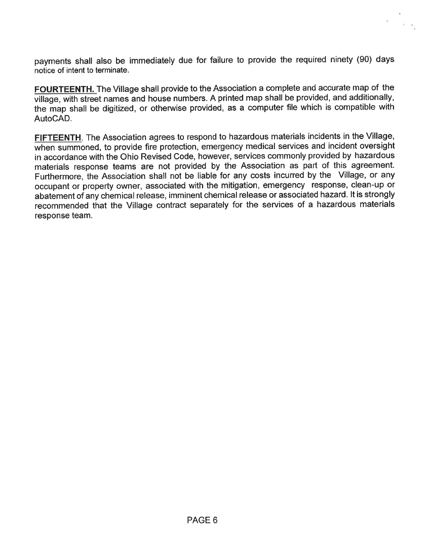payments shall also be immediately due for failure to provide the required ninety (90) days notice of intent to terminate.

FOURTEENTH. The Village shall provide to the Association a complete and accurate map of the village, with street names and house numbers. A printed map shall be provided, and additionally, the map shall be digitized, or otherwise provided, as a computer file which is compatible with AutoCAD.

FIFTEENTH. The Association agrees to respond to hazardous materials incidents in the Village, when summoned, to provide fire protection, emergency medical services and incident oversight in accordance with the Ohio Revised Code, however, services commonly provided by hazardous materials response teams are not provided by the Association as part of this agreement. Furthermore, the Association shall not be liable for any costs incurred by the Village, or any occupant or property owner, associated with the mitigation, emergency response, clean-up or abatement of any chemical release, imminent chemical release or associated hazard. It is strongly recommended that the Village contract separately for the services of a hazardous materials response team.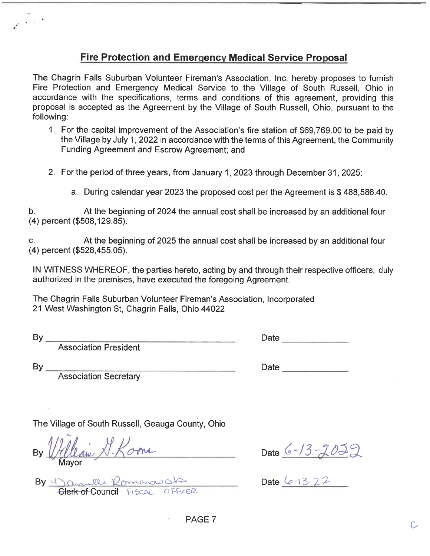## Fire Protection and Emergency Medical Service Proposal

The Chagrin Falls Suburban Volunteer Fireman's Association, Inc. hereby proposes to furnish Fire Protection and Emergency Medical Service to the Village of South Russell, Ohio in accordance with the specifications, terms and conditions of this agreement, providing this proposal is accepted as the Agreement by the Village of South Russell, Ohio, pursuant to the following:

- 1. For the capital improvement of the Association's fire station of \$69, 769. 00 to be paid by the Village by July 1, 2022 in accordance with the terms of this Agreement, the Community Funding Agreement and Escrow Agreement; and
- 2. For the period of three years, from January 1, 2023 through December 31, 2025:
	- a. During calendar year 2023 the proposed cost per the Agreement is \$ 488, 586. 40.

b. At the beginning of 2024 the annual cost shall be increased by an additional four (4) percent (\$508, 129. 85).

c. At the beginning of 2025 the annual cost shall be increased by an additional four (4) percent (\$528, 455. 05).

IN WITNESS WHEREOF, the parties hereto, acting by and through their respective officers, duly authorized in the premises, have executed the foregoing Agreement.

The Chagrin Falls Suburban Volunteer Fireman's Association, Incorporated 21 West Washington St, Chagrin Falls, Ohio 44022

| ۰,  |  |
|-----|--|
| ___ |  |

 $\gamma_{\rm eff} \sim 10^{-14}$ 

Association President

 $By_{-}$ 

| Date |  |  |
|------|--|--|
|      |  |  |

Association Secretary

The Village of South Russell, Geauga County, Ohio

By fillean  $X.\text{K}$ ome Mayor

By Danulle Romanowake Clerk of Council FISCAL

Date  $6 - 13 - 2022$ 

Date  $6.13.22$